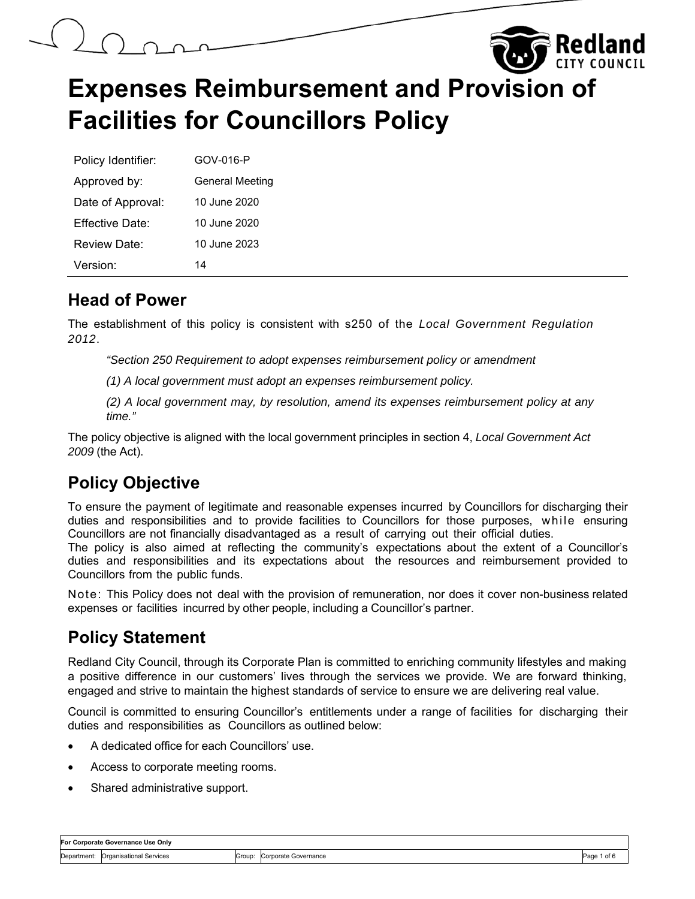

Rediand

| Policy Identifier:  | GOV-016-P              |
|---------------------|------------------------|
| Approved by:        | <b>General Meeting</b> |
| Date of Approval:   | 10 June 2020           |
| Fffective Date:     | 10 June 2020           |
| <b>Review Date:</b> | 10 June 2023           |
| Version:            | 14                     |

#### **Head of Power**

The establishment of this policy is consistent with s250 of the *Local Government Regulation 2012*.

*"Section 250 Requirement to adopt expenses reimbursement policy or amendment* 

*(1) A local government must adopt an expenses reimbursement policy.*

*(2) A local government may, by resolution, amend its expenses reimbursement policy at any time."* 

The policy objective is aligned with the local government principles in section 4, *Local Government Act 2009* (the Act).

## **Policy Objective**

To ensure the payment of legitimate and reasonable expenses incurred by Councillors for discharging their duties and responsibilities and to provide facilities to Councillors for those purposes, while ensuring Councillors are not financially disadvantaged as a result of carrying out their official duties.

The policy is also aimed at reflecting the community's expectations about the extent of a Councillor's duties and responsibilities and its expectations about the resources and reimbursement provided to Councillors from the public funds.

Note: This Policy does not deal with the provision of remuneration, nor does it cover non-business related expenses or facilities incurred by other people, including a Councillor's partner.

#### **Policy Statement**

Redland City Council, through its Corporate Plan is committed to enriching community lifestyles and making a positive difference in our customers' lives through the services we provide. We are forward thinking, engaged and strive to maintain the highest standards of service to ensure we are delivering real value.

Council is committed to ensuring Councillor's entitlements under a range of facilities for discharging their duties and responsibilities as Councillors as outlined below:

- A dedicated office for each Councillors' use.
- Access to corporate meeting rooms.
- Shared administrative support.

| For Corporate Governance Use Onlv |                         |        |                      |      |
|-----------------------------------|-------------------------|--------|----------------------|------|
| Department:                       | Organisational Services | Group: | Corporate Governance | Paαε |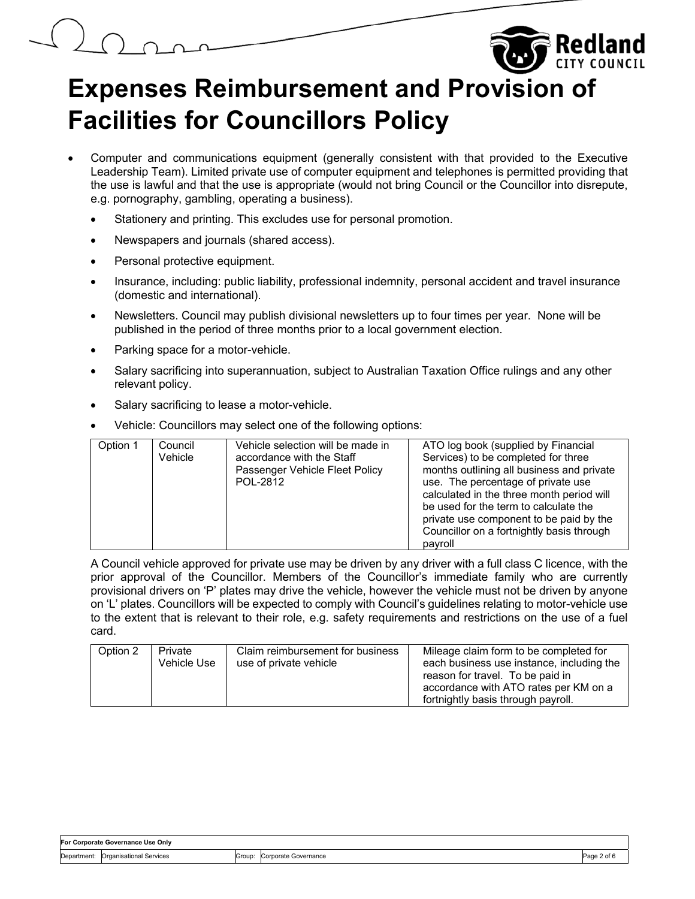# **Expenses Reimbursement and Provision of Facilities for Councillors Policy**

- Computer and communications equipment (generally consistent with that provided to the Executive Leadership Team). Limited private use of computer equipment and telephones is permitted providing that the use is lawful and that the use is appropriate (would not bring Council or the Councillor into disrepute, e.g. pornography, gambling, operating a business).
	- Stationery and printing. This excludes use for personal promotion.
	- Newspapers and journals (shared access).
	- Personal protective equipment.
	- Insurance, including: public liability, professional indemnity, personal accident and travel insurance (domestic and international).
	- Newsletters. Council may publish divisional newsletters up to four times per year. None will be published in the period of three months prior to a local government election.
	- Parking space for a motor-vehicle.
	- Salary sacrificing into superannuation, subject to Australian Taxation Office rulings and any other relevant policy.
	- Salary sacrificing to lease a motor-vehicle.
	- Vehicle: Councillors may select one of the following options:

| Option 1 | Council | Vehicle selection will be made in | ATO log book (supplied by Financial       |
|----------|---------|-----------------------------------|-------------------------------------------|
|          | Vehicle | accordance with the Staff         | Services) to be completed for three       |
|          |         | Passenger Vehicle Fleet Policy    | months outlining all business and private |
|          |         | POL-2812                          | use. The percentage of private use        |
|          |         |                                   | calculated in the three month period will |
|          |         |                                   | be used for the term to calculate the     |
|          |         |                                   | private use component to be paid by the   |
|          |         |                                   | Councillor on a fortnightly basis through |
|          |         |                                   | payroll                                   |

A Council vehicle approved for private use may be driven by any driver with a full class C licence, with the prior approval of the Councillor. Members of the Councillor's immediate family who are currently provisional drivers on 'P' plates may drive the vehicle, however the vehicle must not be driven by anyone on 'L' plates. Councillors will be expected to comply with Council's guidelines relating to motor-vehicle use to the extent that is relevant to their role, e.g. safety requirements and restrictions on the use of a fuel card.

| Option 2                         | Mileage claim form to be completed for    |
|----------------------------------|-------------------------------------------|
| Claim reimbursement for business | each business use instance, including the |
| Private                          | reason for travel. To be paid in          |
| Vehicle Use                      | accordance with ATO rates per KM on a     |
| use of private vehicle           | fortnightly basis through payroll.        |

| For Corporate Governance Use Only |                         |        |                      |  |
|-----------------------------------|-------------------------|--------|----------------------|--|
| Department:                       | Organisational Services | Group: | Corporate Governance |  |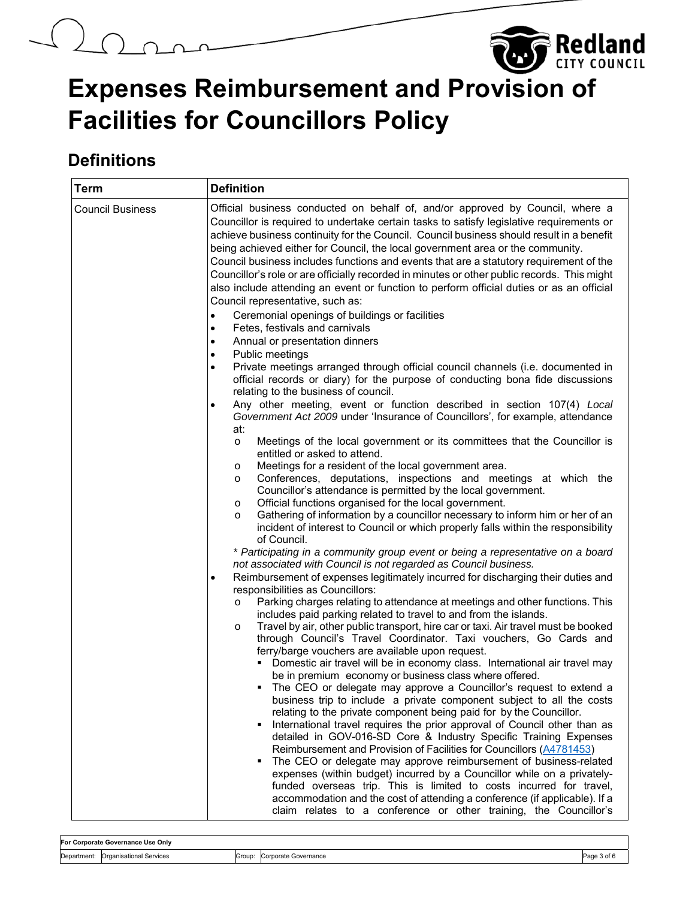# $\Omega$



**Redland** 

## **Definitions**

| <b>Term</b>             | <b>Definition</b>                                                                                                                                                                                                                                                                                                                                                                                                                                                                                                                                                                                                                                                                                                                                                                                                                                                                                                                                                                                                                                                                                                                                                                                                                                                                                                                                                                                     |
|-------------------------|-------------------------------------------------------------------------------------------------------------------------------------------------------------------------------------------------------------------------------------------------------------------------------------------------------------------------------------------------------------------------------------------------------------------------------------------------------------------------------------------------------------------------------------------------------------------------------------------------------------------------------------------------------------------------------------------------------------------------------------------------------------------------------------------------------------------------------------------------------------------------------------------------------------------------------------------------------------------------------------------------------------------------------------------------------------------------------------------------------------------------------------------------------------------------------------------------------------------------------------------------------------------------------------------------------------------------------------------------------------------------------------------------------|
| <b>Council Business</b> | Official business conducted on behalf of, and/or approved by Council, where a<br>Councillor is required to undertake certain tasks to satisfy legislative requirements or<br>achieve business continuity for the Council. Council business should result in a benefit<br>being achieved either for Council, the local government area or the community.<br>Council business includes functions and events that are a statutory requirement of the<br>Councillor's role or are officially recorded in minutes or other public records. This might<br>also include attending an event or function to perform official duties or as an official<br>Council representative, such as:<br>Ceremonial openings of buildings or facilities<br>$\bullet$<br>Fetes, festivals and carnivals<br>$\bullet$<br>Annual or presentation dinners<br>$\bullet$<br>Public meetings                                                                                                                                                                                                                                                                                                                                                                                                                                                                                                                                      |
|                         | Private meetings arranged through official council channels (i.e. documented in<br>official records or diary) for the purpose of conducting bona fide discussions<br>relating to the business of council.                                                                                                                                                                                                                                                                                                                                                                                                                                                                                                                                                                                                                                                                                                                                                                                                                                                                                                                                                                                                                                                                                                                                                                                             |
|                         | Any other meeting, event or function described in section 107(4) Local<br>$\bullet$<br>Government Act 2009 under 'Insurance of Councillors', for example, attendance<br>at:<br>Meetings of the local government or its committees that the Councillor is<br>$\circ$<br>entitled or asked to attend.<br>Meetings for a resident of the local government area.<br>O<br>Conferences, deputations, inspections and meetings at which the<br>$\circ$<br>Councillor's attendance is permitted by the local government.<br>Official functions organised for the local government.<br>$\circ$<br>Gathering of information by a councillor necessary to inform him or her of an<br>$\circ$<br>incident of interest to Council or which properly falls within the responsibility<br>of Council.<br>* Participating in a community group event or being a representative on a board<br>not associated with Council is not regarded as Council business.<br>Reimbursement of expenses legitimately incurred for discharging their duties and                                                                                                                                                                                                                                                                                                                                                                      |
|                         | responsibilities as Councillors:<br>Parking charges relating to attendance at meetings and other functions. This<br>$\circ$<br>includes paid parking related to travel to and from the islands.<br>Travel by air, other public transport, hire car or taxi. Air travel must be booked<br>$\circ$<br>through Council's Travel Coordinator. Taxi vouchers, Go Cards and<br>ferry/barge vouchers are available upon request.<br>Domestic air travel will be in economy class. International air travel may<br>be in premium economy or business class where offered.<br>The CEO or delegate may approve a Councillor's request to extend a<br>business trip to include a private component subject to all the costs<br>relating to the private component being paid for by the Councillor.<br>International travel requires the prior approval of Council other than as<br>٠<br>detailed in GOV-016-SD Core & Industry Specific Training Expenses<br>Reimbursement and Provision of Facilities for Councillors (A4781453)<br>The CEO or delegate may approve reimbursement of business-related<br>٠<br>expenses (within budget) incurred by a Councillor while on a privately-<br>funded overseas trip. This is limited to costs incurred for travel,<br>accommodation and the cost of attending a conference (if applicable). If a<br>claim relates to a conference or other training, the Councillor's |

**For Corporate Governance Use Only**  Department: Organisational Services Croup: Corporate Governance Corporate Governance Page 3 of 6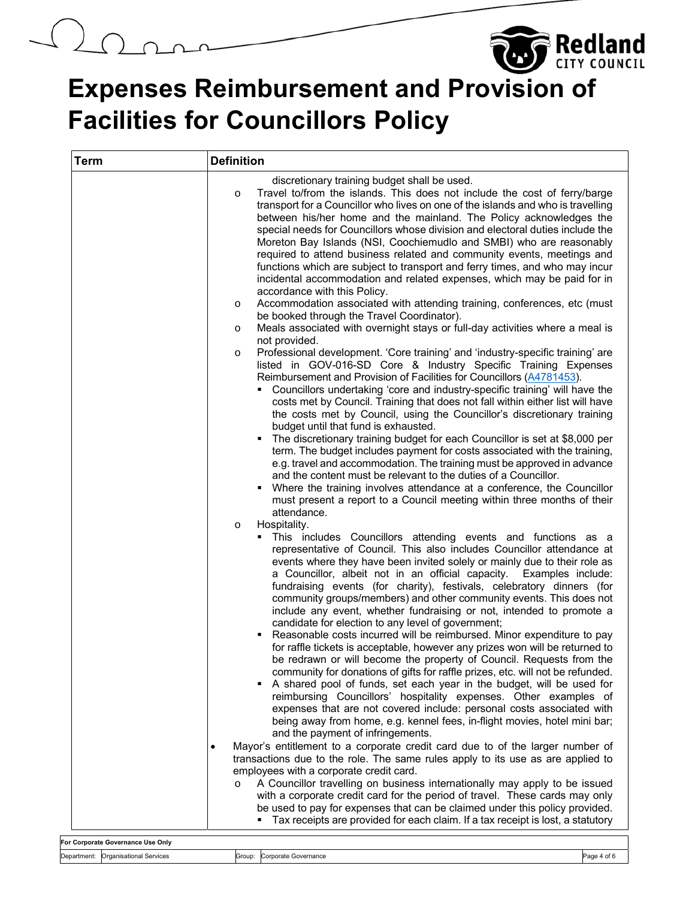# $\bigcup_{i=1}^{n}$

# **Expenses Reimbursement and Provision of Facilities for Councillors Policy**

**Redland** 

| <b>Term</b> | <b>Definition</b>                                                                                                                                                                                                                                                                                                                                                                                                                                                                                                                                                                                                                                                                                                                                                                                                                                                                                                                                                                                                                                                                                                                                                                                                                                                                                                                                                                                                                                                                                                                                                                                                                                                                                                                                                                                                                                                                                                                                                                                                                                                                                                                                                                                                                                                                                                                                                                                                                                                                                                                                                                                                                                                                                                                                                                                                                                                                                                                                                                                                                                                                                                        |  |  |  |
|-------------|--------------------------------------------------------------------------------------------------------------------------------------------------------------------------------------------------------------------------------------------------------------------------------------------------------------------------------------------------------------------------------------------------------------------------------------------------------------------------------------------------------------------------------------------------------------------------------------------------------------------------------------------------------------------------------------------------------------------------------------------------------------------------------------------------------------------------------------------------------------------------------------------------------------------------------------------------------------------------------------------------------------------------------------------------------------------------------------------------------------------------------------------------------------------------------------------------------------------------------------------------------------------------------------------------------------------------------------------------------------------------------------------------------------------------------------------------------------------------------------------------------------------------------------------------------------------------------------------------------------------------------------------------------------------------------------------------------------------------------------------------------------------------------------------------------------------------------------------------------------------------------------------------------------------------------------------------------------------------------------------------------------------------------------------------------------------------------------------------------------------------------------------------------------------------------------------------------------------------------------------------------------------------------------------------------------------------------------------------------------------------------------------------------------------------------------------------------------------------------------------------------------------------------------------------------------------------------------------------------------------------------------------------------------------------------------------------------------------------------------------------------------------------------------------------------------------------------------------------------------------------------------------------------------------------------------------------------------------------------------------------------------------------------------------------------------------------------------------------------------------------|--|--|--|
|             | discretionary training budget shall be used.<br>Travel to/from the islands. This does not include the cost of ferry/barge<br>O<br>transport for a Councillor who lives on one of the islands and who is travelling<br>between his/her home and the mainland. The Policy acknowledges the<br>special needs for Councillors whose division and electoral duties include the<br>Moreton Bay Islands (NSI, Coochiemudlo and SMBI) who are reasonably<br>required to attend business related and community events, meetings and<br>functions which are subject to transport and ferry times, and who may incur<br>incidental accommodation and related expenses, which may be paid for in<br>accordance with this Policy.<br>Accommodation associated with attending training, conferences, etc (must<br>O<br>be booked through the Travel Coordinator).<br>Meals associated with overnight stays or full-day activities where a meal is<br>O<br>not provided.<br>Professional development. 'Core training' and 'industry-specific training' are<br>O<br>listed in GOV-016-SD Core & Industry Specific Training Expenses<br>Reimbursement and Provision of Facilities for Councillors (A4781453).<br>Councillors undertaking 'core and industry-specific training' will have the<br>costs met by Council. Training that does not fall within either list will have<br>the costs met by Council, using the Councillor's discretionary training<br>budget until that fund is exhausted.<br>The discretionary training budget for each Councillor is set at \$8,000 per<br>term. The budget includes payment for costs associated with the training,<br>e.g. travel and accommodation. The training must be approved in advance<br>and the content must be relevant to the duties of a Councillor.<br>Where the training involves attendance at a conference, the Councillor<br>must present a report to a Council meeting within three months of their<br>attendance.<br>Hospitality.<br>$\circ$<br>This includes Councillors attending events and functions as a<br>٠<br>representative of Council. This also includes Councillor attendance at<br>events where they have been invited solely or mainly due to their role as<br>a Councillor, albeit not in an official capacity.<br>Examples include:<br>fundraising events (for charity), festivals, celebratory dinners (for<br>community groups/members) and other community events. This does not<br>include any event, whether fundraising or not, intended to promote a<br>candidate for election to any level of government;<br>Reasonable costs incurred will be reimbursed. Minor expenditure to pay<br>for raffle tickets is acceptable, however any prizes won will be returned to<br>be redrawn or will become the property of Council. Requests from the<br>community for donations of gifts for raffle prizes, etc. will not be refunded.<br>A shared pool of funds, set each year in the budget, will be used for<br>reimbursing Councillors' hospitality expenses. Other examples of<br>expenses that are not covered include: personal costs associated with |  |  |  |
|             | being away from home, e.g. kennel fees, in-flight movies, hotel mini bar;<br>and the payment of infringements.                                                                                                                                                                                                                                                                                                                                                                                                                                                                                                                                                                                                                                                                                                                                                                                                                                                                                                                                                                                                                                                                                                                                                                                                                                                                                                                                                                                                                                                                                                                                                                                                                                                                                                                                                                                                                                                                                                                                                                                                                                                                                                                                                                                                                                                                                                                                                                                                                                                                                                                                                                                                                                                                                                                                                                                                                                                                                                                                                                                                           |  |  |  |
|             | Mayor's entitlement to a corporate credit card due to of the larger number of<br>transactions due to the role. The same rules apply to its use as are applied to<br>employees with a corporate credit card.<br>A Councillor travelling on business internationally may apply to be issued<br>$\Omega$<br>with a corporate credit card for the period of travel. These cards may only<br>be used to pay for expenses that can be claimed under this policy provided.<br>Tax receipts are provided for each claim. If a tax receipt is lost, a statutory                                                                                                                                                                                                                                                                                                                                                                                                                                                                                                                                                                                                                                                                                                                                                                                                                                                                                                                                                                                                                                                                                                                                                                                                                                                                                                                                                                                                                                                                                                                                                                                                                                                                                                                                                                                                                                                                                                                                                                                                                                                                                                                                                                                                                                                                                                                                                                                                                                                                                                                                                                   |  |  |  |

|             | For Corporate Governance Use Only      |        |                         |      |
|-------------|----------------------------------------|--------|-------------------------|------|
| Department: | :)rganisational<br>l Service:<br>viual | Group: | `ornorate<br>Governance | ¬--- |
|             |                                        |        |                         |      |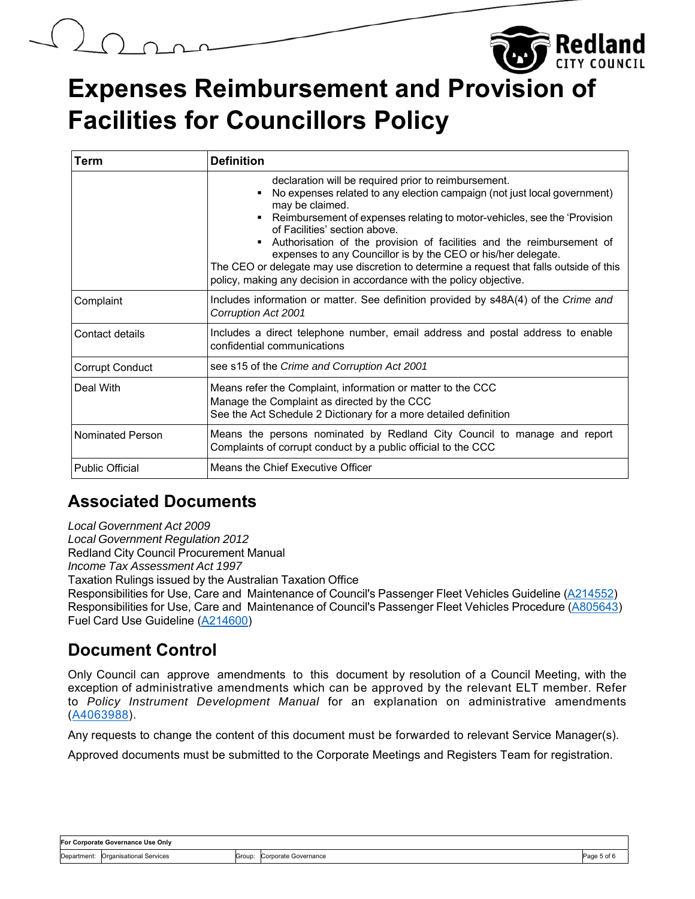

# **Expenses Reimbursement and Provision of Facilities for Councillors Policy**

| <b>Term</b>             | <b>Definition</b>                                                                                                                                                                                                                                                                                                                                                                                                                                                                                                                                                               |  |
|-------------------------|---------------------------------------------------------------------------------------------------------------------------------------------------------------------------------------------------------------------------------------------------------------------------------------------------------------------------------------------------------------------------------------------------------------------------------------------------------------------------------------------------------------------------------------------------------------------------------|--|
|                         | declaration will be required prior to reimbursement.<br>No expenses related to any election campaign (not just local government)<br>may be claimed.<br>■ Reimbursement of expenses relating to motor-vehicles, see the 'Provision<br>of Facilities' section above<br>Authorisation of the provision of facilities and the reimbursement of<br>expenses to any Councillor is by the CEO or his/her delegate.<br>The CEO or delegate may use discretion to determine a request that falls outside of this<br>policy, making any decision in accordance with the policy objective. |  |
| Complaint               | Includes information or matter. See definition provided by s48A(4) of the Crime and<br>Corruption Act 2001                                                                                                                                                                                                                                                                                                                                                                                                                                                                      |  |
| Contact details         | Includes a direct telephone number, email address and postal address to enable<br>confidential communications                                                                                                                                                                                                                                                                                                                                                                                                                                                                   |  |
| <b>Corrupt Conduct</b>  | see s15 of the Crime and Corruption Act 2001                                                                                                                                                                                                                                                                                                                                                                                                                                                                                                                                    |  |
| Deal With               | Means refer the Complaint, information or matter to the CCC<br>Manage the Complaint as directed by the CCC<br>See the Act Schedule 2 Dictionary for a more detailed definition                                                                                                                                                                                                                                                                                                                                                                                                  |  |
| <b>Nominated Person</b> | Means the persons nominated by Redland City Council to manage and report<br>Complaints of corrupt conduct by a public official to the CCC                                                                                                                                                                                                                                                                                                                                                                                                                                       |  |
| <b>Public Official</b>  | Means the Chief Executive Officer                                                                                                                                                                                                                                                                                                                                                                                                                                                                                                                                               |  |

### **Associated Documents**

*Local Government Act 2009 Local Government Regulation 2012* Redland City Council Procurement Manual *Income Tax Assessment Act 1997* Taxation Rulings issued by the Australian Taxation Office Responsibilities for Use, Care and Maintenance of Council's Passenger Fleet Vehicles Guideline (A214552) Responsibilities for Use, Care and Maintenance of Council's Passenger Fleet Vehicles Procedure (A805643) Fuel Card Use Guideline (A214600)

### **Document Control**

Only Council can approve amendments to this document by resolution of a Council Meeting, with the exception of administrative amendments which can be approved by the relevant ELT member. Refer to *Policy Instrument Development Manual* for an explanation on administrative amendments (A4063988).

Any requests to change the content of this document must be forwarded to relevant Service Manager(s).

Approved documents must be submitted to the Corporate Meetings and Registers Team for registration.

| For Corporate Governance Use Onlv |                                     |       |                         |  |
|-----------------------------------|-------------------------------------|-------|-------------------------|--|
| Department:                       | l Services<br><u>Droanisational</u> | Group | Governance<br>Corporate |  |